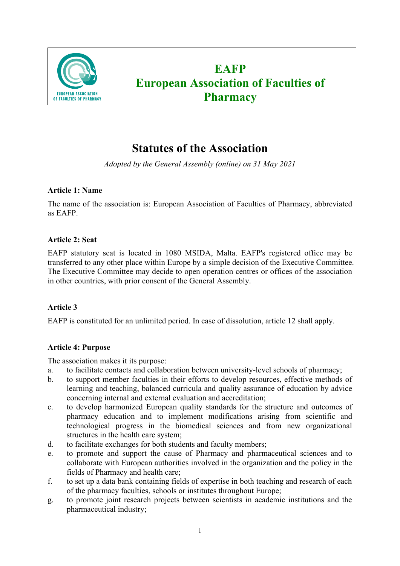

# **EAFP European Association of Faculties of Pharmacy**

## **Statutes of the Association**

*Adopted by the General Assembly (online) on 31 May 2021*

## **Article 1: Name**

The name of the association is: European Association of Faculties of Pharmacy, abbreviated as EAFP.

## **Article 2: Seat**

EAFP statutory seat is located in 1080 MSIDA, Malta. EAFP's registered office may be transferred to any other place within Europe by a simple decision of the Executive Committee. The Executive Committee may decide to open operation centres or offices of the association in other countries, with prior consent of the General Assembly.

## **Article 3**

EAFP is constituted for an unlimited period. In case of dissolution, article 12 shall apply.

## **Article 4: Purpose**

The association makes it its purpose:

- a. to facilitate contacts and collaboration between university-level schools of pharmacy;
- b. to support member faculties in their efforts to develop resources, effective methods of learning and teaching, balanced curricula and quality assurance of education by advice concerning internal and external evaluation and accreditation;
- c. to develop harmonized European quality standards for the structure and outcomes of pharmacy education and to implement modifications arising from scientific and technological progress in the biomedical sciences and from new organizational structures in the health care system;
- d. to facilitate exchanges for both students and faculty members;
- e. to promote and support the cause of Pharmacy and pharmaceutical sciences and to collaborate with European authorities involved in the organization and the policy in the fields of Pharmacy and health care;
- f. to set up a data bank containing fields of expertise in both teaching and research of each of the pharmacy faculties, schools or institutes throughout Europe;
- g. to promote joint research projects between scientists in academic institutions and the pharmaceutical industry;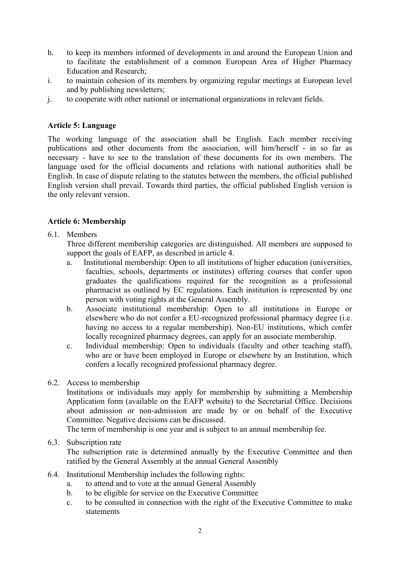- h. to keep its members informed of developments in and around the European Union and to facilitate the establishment of a common European Area of Higher Pharmacy Education and Research;
- i. to maintain cohesion of its members by organizing regular meetings at European level and by publishing newsletters;
- j. to cooperate with other national or international organizations in relevant fields.

## **Article 5: Language**

The working language of the association shall be English. Each member receiving publications and other documents from the association, will him/herself - in so far as necessary - have to see to the translation of these documents for its own members. The language used for the official documents and relations with national authorities shall be English. In case of dispute relating to the statutes between the members, the official published English version shall prevail. Towards third parties, the official published English version is the only relevant version.

## **Article 6: Membership**

6.1. Members

Three different membership categories are distinguished. All members are supposed to support the goals of EAFP, as described in article 4.

- a. Institutional membership: Open to all institutions of higher education (universities, faculties, schools, departments or institutes) offering courses that confer upon graduates the qualifications required for the recognition as a professional pharmacist as outlined by EC regulations. Each institution is represented by one person with voting rights at the General Assembly.
- b. Associate institutional membership: Open to all institutions in Europe or elsewhere who do not confer a EU-recognized professional pharmacy degree (i.e. having no access to a regular membership). Non-EU institutions, which confer locally recognized pharmacy degrees, can apply for an associate membership.
- c. Individual membership: Open to individuals (faculty and other teaching staff), who are or have been employed in Europe or elsewhere by an Institution, which confers a locally recognized professional pharmacy degree.
- 6.2. Access to membership

Institutions or individuals may apply for membership by submitting a Membership Application form (available on the EAFP website) to the Secretarial Office. Decisions about admission or non-admission are made by or on behalf of the Executive Committee. Negative decisions can be discussed.

The term of membership is one year and is subject to an annual membership fee.

#### 6.3. Subscription rate

The subscription rate is determined annually by the Executive Committee and then ratified by the General Assembly at the annual General Assembly

- 6.4. Institutional Membership includes the following rights:
	- a. to attend and to vote at the annual General Assembly
	- b. to be eligible for service on the Executive Committee
	- c. to be consulted in connection with the right of the Executive Committee to make statements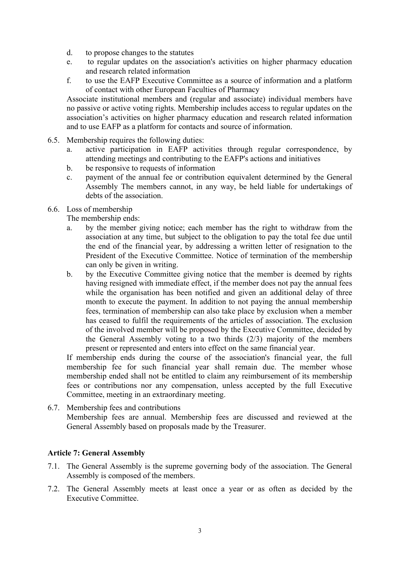- d. to propose changes to the statutes
- e. to regular updates on the association's activities on higher pharmacy education and research related information
- f. to use the EAFP Executive Committee as a source of information and a platform of contact with other European Faculties of Pharmacy

Associate institutional members and (regular and associate) individual members have no passive or active voting rights. Membership includes access to regular updates on the association's activities on higher pharmacy education and research related information and to use EAFP as a platform for contacts and source of information.

- 6.5. Membership requires the following duties:
	- a. active participation in EAFP activities through regular correspondence, by attending meetings and contributing to the EAFP's actions and initiatives
	- b. be responsive to requests of information
	- c. payment of the annual fee or contribution equivalent determined by the General Assembly The members cannot, in any way, be held liable for undertakings of debts of the association.
- 6.6. Loss of membership

The membership ends:

- a. by the member giving notice; each member has the right to withdraw from the association at any time, but subject to the obligation to pay the total fee due until the end of the financial year, by addressing a written letter of resignation to the President of the Executive Committee. Notice of termination of the membership can only be given in writing.
- b. by the Executive Committee giving notice that the member is deemed by rights having resigned with immediate effect, if the member does not pay the annual fees while the organisation has been notified and given an additional delay of three month to execute the payment. In addition to not paying the annual membership fees, termination of membership can also take place by exclusion when a member has ceased to fulfil the requirements of the articles of association. The exclusion of the involved member will be proposed by the Executive Committee, decided by the General Assembly voting to a two thirds (2/3) majority of the members present or represented and enters into effect on the same financial year.

If membership ends during the course of the association's financial year, the full membership fee for such financial year shall remain due. The member whose membership ended shall not be entitled to claim any reimbursement of its membership fees or contributions nor any compensation, unless accepted by the full Executive Committee, meeting in an extraordinary meeting.

6.7. Membership fees and contributions Membership fees are annual. Membership fees are discussed and reviewed at the General Assembly based on proposals made by the Treasurer.

#### **Article 7: General Assembly**

- 7.1. The General Assembly is the supreme governing body of the association. The General Assembly is composed of the members.
- 7.2. The General Assembly meets at least once a year or as often as decided by the Executive Committee.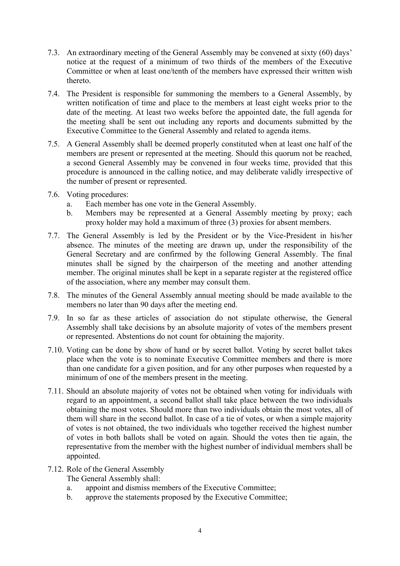- 7.3. An extraordinary meeting of the General Assembly may be convened at sixty (60) days' notice at the request of a minimum of two thirds of the members of the Executive Committee or when at least one/tenth of the members have expressed their written wish thereto.
- 7.4. The President is responsible for summoning the members to a General Assembly, by written notification of time and place to the members at least eight weeks prior to the date of the meeting. At least two weeks before the appointed date, the full agenda for the meeting shall be sent out including any reports and documents submitted by the Executive Committee to the General Assembly and related to agenda items.
- 7.5. A General Assembly shall be deemed properly constituted when at least one half of the members are present or represented at the meeting. Should this quorum not be reached, a second General Assembly may be convened in four weeks time, provided that this procedure is announced in the calling notice, and may deliberate validly irrespective of the number of present or represented.
- 7.6. Voting procedures:
	- a. Each member has one vote in the General Assembly.
	- b. Members may be represented at a General Assembly meeting by proxy; each proxy holder may hold a maximum of three (3) proxies for absent members.
- 7.7. The General Assembly is led by the President or by the Vice-President in his/her absence. The minutes of the meeting are drawn up, under the responsibility of the General Secretary and are confirmed by the following General Assembly. The final minutes shall be signed by the chairperson of the meeting and another attending member. The original minutes shall be kept in a separate register at the registered office of the association, where any member may consult them.
- 7.8. The minutes of the General Assembly annual meeting should be made available to the members no later than 90 days after the meeting end.
- 7.9. In so far as these articles of association do not stipulate otherwise, the General Assembly shall take decisions by an absolute majority of votes of the members present or represented. Abstentions do not count for obtaining the majority.
- 7.10. Voting can be done by show of hand or by secret ballot. Voting by secret ballot takes place when the vote is to nominate Executive Committee members and there is more than one candidate for a given position, and for any other purposes when requested by a minimum of one of the members present in the meeting.
- 7.11. Should an absolute majority of votes not be obtained when voting for individuals with regard to an appointment, a second ballot shall take place between the two individuals obtaining the most votes. Should more than two individuals obtain the most votes, all of them will share in the second ballot. In case of a tie of votes, or when a simple majority of votes is not obtained, the two individuals who together received the highest number of votes in both ballots shall be voted on again. Should the votes then tie again, the representative from the member with the highest number of individual members shall be appointed.
- 7.12. Role of the General Assembly
	- The General Assembly shall:
	- a. appoint and dismiss members of the Executive Committee;
	- b. approve the statements proposed by the Executive Committee;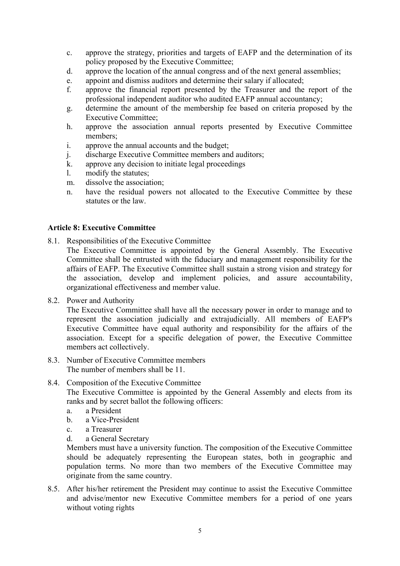- c. approve the strategy, priorities and targets of EAFP and the determination of its policy proposed by the Executive Committee;
- d. approve the location of the annual congress and of the next general assemblies;
- e. appoint and dismiss auditors and determine their salary if allocated;
- f. approve the financial report presented by the Treasurer and the report of the professional independent auditor who audited EAFP annual accountancy;
- g. determine the amount of the membership fee based on criteria proposed by the Executive Committee;
- h. approve the association annual reports presented by Executive Committee members;
- i. approve the annual accounts and the budget;
- j. discharge Executive Committee members and auditors;
- k. approve any decision to initiate legal proceedings
- l. modify the statutes;
- m. dissolve the association;
- n. have the residual powers not allocated to the Executive Committee by these statutes or the law.

#### **Article 8: Executive Committee**

8.1. Responsibilities of the Executive Committee

The Executive Committee is appointed by the General Assembly. The Executive Committee shall be entrusted with the fiduciary and management responsibility for the affairs of EAFP. The Executive Committee shall sustain a strong vision and strategy for the association, develop and implement policies, and assure accountability, organizational effectiveness and member value.

8.2. Power and Authority

The Executive Committee shall have all the necessary power in order to manage and to represent the association judicially and extrajudicially. All members of EAFP's Executive Committee have equal authority and responsibility for the affairs of the association. Except for a specific delegation of power, the Executive Committee members act collectively.

- 8.3. Number of Executive Committee members The number of members shall be 11.
- 8.4. Composition of the Executive Committee

The Executive Committee is appointed by the General Assembly and elects from its ranks and by secret ballot the following officers:

- a. a President
- b. a Vice-President
- c. a Treasurer
- d. a General Secretary

Members must have a university function. The composition of the Executive Committee should be adequately representing the European states, both in geographic and population terms. No more than two members of the Executive Committee may originate from the same country.

8.5. After his/her retirement the President may continue to assist the Executive Committee and advise/mentor new Executive Committee members for a period of one years without voting rights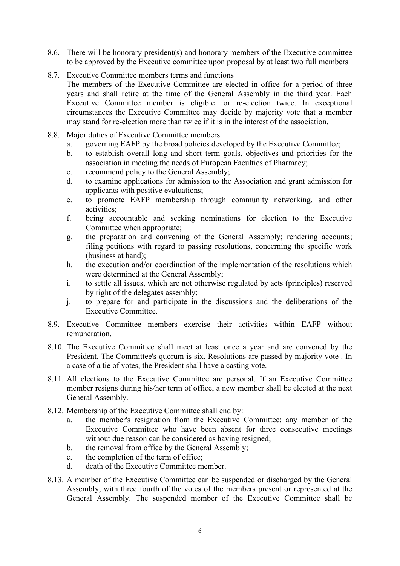- 8.6. There will be honorary president(s) and honorary members of the Executive committee to be approved by the Executive committee upon proposal by at least two full members
- 8.7. Executive Committee members terms and functions The members of the Executive Committee are elected in office for a period of three years and shall retire at the time of the General Assembly in the third year. Each Executive Committee member is eligible for re-election twice. In exceptional circumstances the Executive Committee may decide by majority vote that a member may stand for re-election more than twice if it is in the interest of the association.
- 8.8. Major duties of Executive Committee members
	- a. governing EAFP by the broad policies developed by the Executive Committee;
	- b. to establish overall long and short term goals, objectives and priorities for the association in meeting the needs of European Faculties of Pharmacy;
	- c. recommend policy to the General Assembly;
	- d. to examine applications for admission to the Association and grant admission for applicants with positive evaluations;
	- e. to promote EAFP membership through community networking, and other activities;
	- f. being accountable and seeking nominations for election to the Executive Committee when appropriate;
	- g. the preparation and convening of the General Assembly; rendering accounts; filing petitions with regard to passing resolutions, concerning the specific work (business at hand);
	- h. the execution and/or coordination of the implementation of the resolutions which were determined at the General Assembly;
	- i. to settle all issues, which are not otherwise regulated by acts (principles) reserved by right of the delegates assembly;
	- j. to prepare for and participate in the discussions and the deliberations of the Executive Committee.
- 8.9. Executive Committee members exercise their activities within EAFP without remuneration.
- 8.10. The Executive Committee shall meet at least once a year and are convened by the President. The Committee's quorum is six. Resolutions are passed by majority vote . In a case of a tie of votes, the President shall have a casting vote.
- 8.11. All elections to the Executive Committee are personal. If an Executive Committee member resigns during his/her term of office, a new member shall be elected at the next General Assembly.
- 8.12. Membership of the Executive Committee shall end by:
	- a. the member's resignation from the Executive Committee; any member of the Executive Committee who have been absent for three consecutive meetings without due reason can be considered as having resigned;
	- b. the removal from office by the General Assembly;
	- c. the completion of the term of office;
	- d. death of the Executive Committee member.
- 8.13. A member of the Executive Committee can be suspended or discharged by the General Assembly, with three fourth of the votes of the members present or represented at the General Assembly. The suspended member of the Executive Committee shall be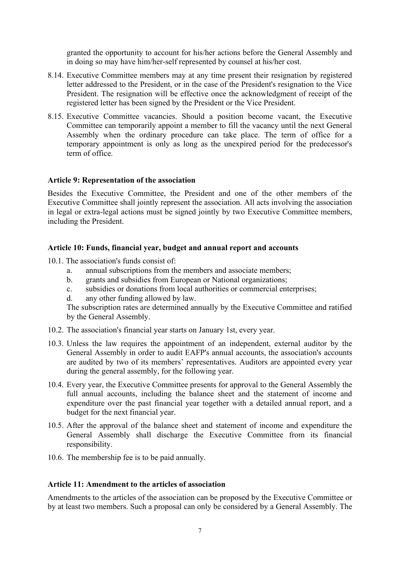granted the opportunity to account for his/her actions before the General Assembly and in doing so may have him/her-self represented by counsel at his/her cost.

- 8.14. Executive Committee members may at any time present their resignation by registered letter addressed to the President, or in the case of the President's resignation to the Vice President. The resignation will be effective once the acknowledgment of receipt of the registered letter has been signed by the President or the Vice President.
- 8.15. Executive Committee vacancies. Should a position become vacant, the Executive Committee can temporarily appoint a member to fill the vacancy until the next General Assembly when the ordinary procedure can take place. The term of office for a temporary appointment is only as long as the unexpired period for the predecessor's term of office.

#### **Article 9: Representation of the association**

Besides the Executive Committee, the President and one of the other members of the Executive Committee shall jointly represent the association. All acts involving the association in legal or extra-legal actions must be signed jointly by two Executive Committee members, including the President.

#### **Article 10: Funds, financial year, budget and annual report and accounts**

10.1. The association's funds consist of:

- a. annual subscriptions from the members and associate members;
- b. grants and subsidies from European or National organizations;
- c. subsidies or donations from local authorities or commercial enterprises;
- d. any other funding allowed by law.

The subscription rates are determined annually by the Executive Committee and ratified by the General Assembly.

- 10.2. The association's financial year starts on January 1st, every year.
- 10.3. Unless the law requires the appointment of an independent, external auditor by the General Assembly in order to audit EAFP's annual accounts, the association's accounts are audited by two of its members' representatives. Auditors are appointed every year during the general assembly, for the following year.
- 10.4. Every year, the Executive Committee presents for approval to the General Assembly the full annual accounts, including the balance sheet and the statement of income and expenditure over the past financial year together with a detailed annual report, and a budget for the next financial year.
- 10.5. After the approval of the balance sheet and statement of income and expenditure the General Assembly shall discharge the Executive Committee from its financial responsibility.
- 10.6. The membership fee is to be paid annually.

#### **Article 11: Amendment to the articles of association**

Amendments to the articles of the association can be proposed by the Executive Committee or by at least two members. Such a proposal can only be considered by a General Assembly. The